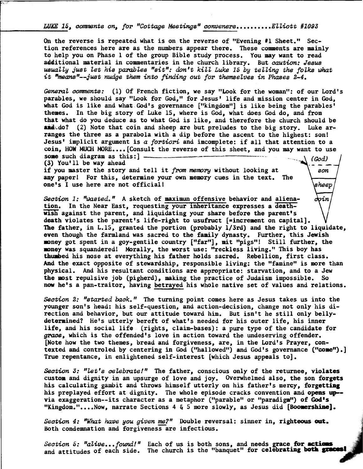LUKE 15, comments on, for "Cottage Meeting**s" c**onveners.........Elliott #1093

**On the reverse is repeated what is on the reverse of "Evening #1 Sheet." Section references here are as the numbers appear there. These comments are mainly to help you on Phase 1 of the group Bible study process. You may want to read additional material in commentaries in the church library. But caution: Jesus usually just let his parables "sit": don't kill Luke 15 by telling the fblks what it Imeans"--just nudge them into finding out for themselves in Phases 2-4.** 

**General comments: (1) Of French fiction, we say "Look for the woman": of our Lord's parables, we should say "Look for God," for Jesus' life and mission center in God, what God is like and what God's governance ["kingdom"] is like being the parables' themes. In the big story of Luke 15, where is God, what does God do, and from that what do you deduce as to what God is like, and therefore the church should be**  and do? (2) Note that coin and sheep are but preludes to the big story. Luke ar**ranges the three as a parabola with a dip before the ascent to the highest: son! Jesus' implicit argument is a fortiori and imcomplete: if all that attention to a coin, HOW MUCH MORE....[Consult the reverse of this sheet, and you may want to use** 

> ..•■■■• **son**

sheep

**some such diagram as this:** ] **i (God) (3)** You'll be way ahead **i (God) if you master the story and tell it from memory without looking at any paper! For this, determine your own memory cues in the text. The one's I use here are not official!** 

**Section 1: "wasted." A sketch of maximun offensive behavior and aliena**coin tion. In the Near East, requesting your inheritance expresses a death**wish against the parent, and liquidating your share before the parent's death violates the parent's life-right to usufruct [=increment on capital]. The father, in L.15, granted the portion (probably 1/3rd) and the right to liquidate, even though the farmland was sacred to the family dynasty. Further, this Jewish money got spent in a goy-gentile country ["far"], mit "pigs"! Still further, the money was squandered! Morally, the worst use: "reckless living." This boy has thumbed his nose at everything his father holds sacred. Rebellion, first class. And the exact opposite of stewardship, responsible living: the "famine" is more than physical. And his resultant conditions are appropriate: starvation, and to a Jew the most repulsive job (pigherd), making the practice of Judaism impossible. So now he's a pan-traitor, having betrayed his whole native set of values and relations.** 

**Section 2: "started back." The turning point comes here as Jesus takes us into the younger son's head: his self-question, and action-decision, change not only his direction and behavior, but our attitude toward him. But isn't he still only bellydetermined? He's utterly bereft of what's needed for his outer life, his inner life, and his social life (rights, claim-bases): a pure type of the candidate for grace, which is the offended's love in action toward the undeserving offender. [Note how the two themes, bread and forgiveness, are, in the Lord's Prayer, contexted and controled by centering in God ("hallowed") and God's governance ("come").] True repentance, in enlightened self-interest [which Jesus appeals to].** 

**Section 3: "Let's celebrate!" The father, conscious only of the returnee, violates custom and dignity in an upsurge of love and joy. Overwhelmed also, the son forgets his calculating gambit and throws himself utterly on his father's mercy, forgetting his preplayed effort at dignity. The whole episode cracks convention and opens up- via exaggeration--its character as a metaphor ("parable" or "paradigm") of God's**  "Kingdom."....Now, narrate Sections 4 & 5 more slowly, as Jesus did [Boomershine].

Section 4: "What have you given me?" Double reversal: sinner in, righteous out. Both condemnation and forgiveness are infectious.

Section 5: "alive...found!" Each of us is both sons, and needs grace for actions and attitudes of each side. The church is the "banquet" for celebrating both graces